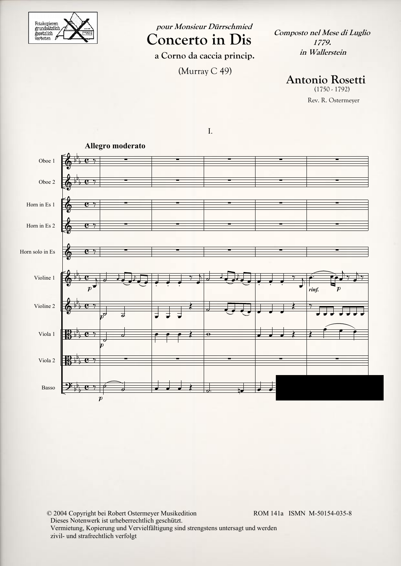

## **Concerto in Dis pour Monsieur Dürrschmied**

**a Corno da caccia princip.**

(Murray C 49)

**Composto nel Mese di Luglio 1779. in Wallerstein**

> **Antonio Rosetti** (1750 - 1792)

Rev. R. Ostermeyer

 $\Phi$  $\Phi$  $\Phi$  $\Phi$ &  $\Phi$  $\Phi$ B B <u> 9:</u> b b b b b b b b b b b b b b b b b b b b b  $\overline{\mathbf{e}}$  $\overline{\mathbf{e}}$ c c  $\overline{\mathbf{e}}$ c  $\overline{\mathbf{e}}$  $\overline{\mathbf{e}}$ c  $\overline{\mathbf{e}}$ Oboe 1 Oboe 2 Horn in Es 1 Horn in Es 2 Horn solo in Es Violine 1 Violine 2 Viola 1 Viola 2 Basso ‰ ‰ ‰ ‰ ‰  $\overline{h}$ œ ‰ ‰ ‰ ‰ **Allegro moderato**  $\boldsymbol{p}$ ∑ ∑ ∑ ∑ ∑  $\rightarrow$ <u>bee</u>  $rac{1}{\sqrt{2}}$  $\overline{\sigma}$   $\overline{\sigma}$  $\overline{\phantom{a}}$ ∑  $\begin{picture}(180,170) \put(0,0){\line(1,0){155}} \put(150,0){\line(1,0){155}} \put(150,0){\line(1,0){155}} \put(150,0){\line(1,0){155}} \put(150,0){\line(1,0){155}} \put(150,0){\line(1,0){155}} \put(150,0){\line(1,0){155}} \put(150,0){\line(1,0){155}} \put(150,0){\line(1,0){155}} \put(150,0){\line(1,0){155}} \put(150,0){$  $\vec{p}$  $\vec{p}$ ∑ ∑ ∑ ∑ ∑ œ  $\cdot$   $\cdot$  $\cdot$   $\cdot$  $\frac{9}{100}$ œ œ œ œ Œ  $\bullet$   $\bullet$   $\bullet$   $\star$ ∑ œ œ œ Œ ∑ ∑ ∑ ∑ ∑ 。<br>。<br>。  $\cdot$   $\cdot$ ن في في صلح<br>ت  $\overline{\bullet}$ ∑ ˙. œn ∑ ∑ ∑ ∑ ∑ œ  $\cdot$   $\cdot$  $\overline{\cdot}$   $\overline{\cdot}$  $\cdot$   $\cdot$   $\cdot$ œ  $\frac{1}{2}$   $\frac{1}{2}$   $\frac{1}{2}$  $\frac{1}{2}$ ∑ . . ∑ ∑ ∑ ∑ ∑  $\epsilon$  $\rightarrow$  $\rightarrow$ ‰ . . . . . . .  $\begin{array}{c} \begin{array}{c} \begin{array}{c} \end{array} \end{array}$ ∑ *rinf.* p

© 2004 Copyright bei Robert Ostermeyer Musikedition Dieses Notenwerk ist urheberrechtlich geschützt. Vermietung, Kopierung und Vervielfältigung sind strengstens untersagt und werden zivil- und strafrechtlich verfolgt ROM 141a ISMN M-50154-035-8

 $\boldsymbol{r}$ 

I.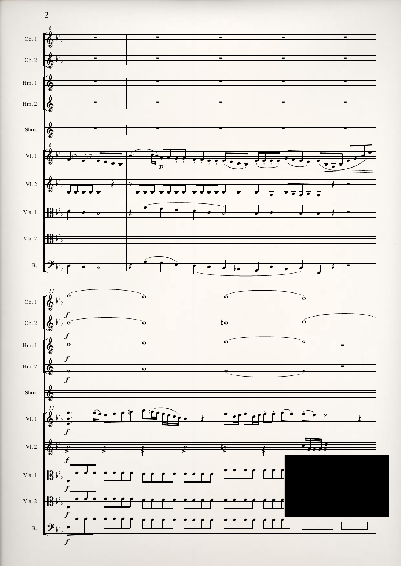